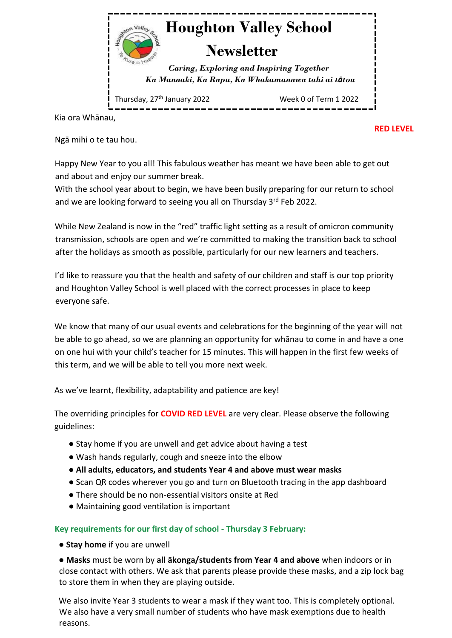

Kia ora Whānau,

**RED LEVEL** 

Ngā mihi o te tau hou.

Happy New Year to you all! This fabulous weather has meant we have been able to get out and about and enjoy our summer break.

With the school year about to begin, we have been busily preparing for our return to school and we are looking forward to seeing you all on Thursday 3<sup>rd</sup> Feb 2022.

While New Zealand is now in the "red" traffic light setting as a result of omicron community transmission, schools are open and we're committed to making the transition back to school after the holidays as smooth as possible, particularly for our new learners and teachers.

I'd like to reassure you that the health and safety of our children and staff is our top priority and Houghton Valley School is well placed with the correct processes in place to keep everyone safe.

We know that many of our usual events and celebrations for the beginning of the year will not be able to go ahead, so we are planning an opportunity for whānau to come in and have a one on one hui with your child's teacher for 15 minutes. This will happen in the first few weeks of this term, and we will be able to tell you more next week.

As we've learnt, flexibility, adaptability and patience are key!

The overriding principles for **COVID RED LEVEL** are very clear. Please observe the following guidelines:

- Stay home if you are unwell and get advice about having a test
- Wash hands regularly, cough and sneeze into the elbow
- **All adults, educators, and students Year 4 and above must wear masks**
- Scan QR codes wherever you go and turn on Bluetooth tracing in the app dashboard
- There should be no non-essential visitors onsite at Red
- Maintaining good ventilation is important

## **Key requirements for our first day of school - Thursday 3 February:**

● **Stay home** if you are unwell

● **Masks** must be worn by **all ākonga/students from Year 4 and above** when indoors or in close contact with others. We ask that parents please provide these masks, and a zip lock bag to store them in when they are playing outside.

We also invite Year 3 students to wear a mask if they want too. This is completely optional. We also have a very small number of students who have mask exemptions due to health reasons.